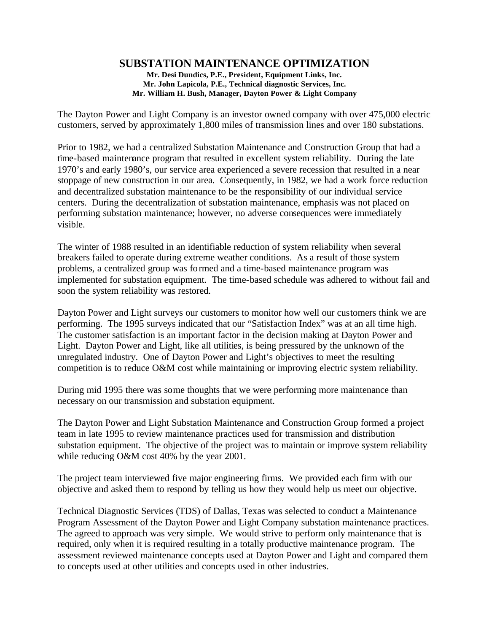# **SUBSTATION MAINTENANCE OPTIMIZATION**

**Mr. Desi Dundics, P.E., President, Equipment Links, Inc. Mr. John Lapicola, P.E., Technical diagnostic Services, Inc. Mr. William H. Bush, Manager, Dayton Power & Light Company**

The Dayton Power and Light Company is an investor owned company with over 475,000 electric customers, served by approximately 1,800 miles of transmission lines and over 180 substations.

Prior to 1982, we had a centralized Substation Maintenance and Construction Group that had a time-based maintenance program that resulted in excellent system reliability. During the late 1970's and early 1980's, our service area experienced a severe recession that resulted in a near stoppage of new construction in our area. Consequently, in 1982, we had a work force reduction and decentralized substation maintenance to be the responsibility of our individual service centers. During the decentralization of substation maintenance, emphasis was not placed on performing substation maintenance; however, no adverse consequences were immediately visible.

The winter of 1988 resulted in an identifiable reduction of system reliability when several breakers failed to operate during extreme weather conditions. As a result of those system problems, a centralized group was formed and a time-based maintenance program was implemented for substation equipment. The time-based schedule was adhered to without fail and soon the system reliability was restored.

Dayton Power and Light surveys our customers to monitor how well our customers think we are performing. The 1995 surveys indicated that our "Satisfaction Index" was at an all time high. The customer satisfaction is an important factor in the decision making at Dayton Power and Light. Dayton Power and Light, like all utilities, is being pressured by the unknown of the unregulated industry. One of Dayton Power and Light's objectives to meet the resulting competition is to reduce O&M cost while maintaining or improving electric system reliability.

During mid 1995 there was some thoughts that we were performing more maintenance than necessary on our transmission and substation equipment.

The Dayton Power and Light Substation Maintenance and Construction Group formed a project team in late 1995 to review maintenance practices used for transmission and distribution substation equipment. The objective of the project was to maintain or improve system reliability while reducing O&M cost 40% by the year 2001.

The project team interviewed five major engineering firms. We provided each firm with our objective and asked them to respond by telling us how they would help us meet our objective.

Technical Diagnostic Services (TDS) of Dallas, Texas was selected to conduct a Maintenance Program Assessment of the Dayton Power and Light Company substation maintenance practices. The agreed to approach was very simple. We would strive to perform only maintenance that is required, only when it is required resulting in a totally productive maintenance program. The assessment reviewed maintenance concepts used at Dayton Power and Light and compared them to concepts used at other utilities and concepts used in other industries.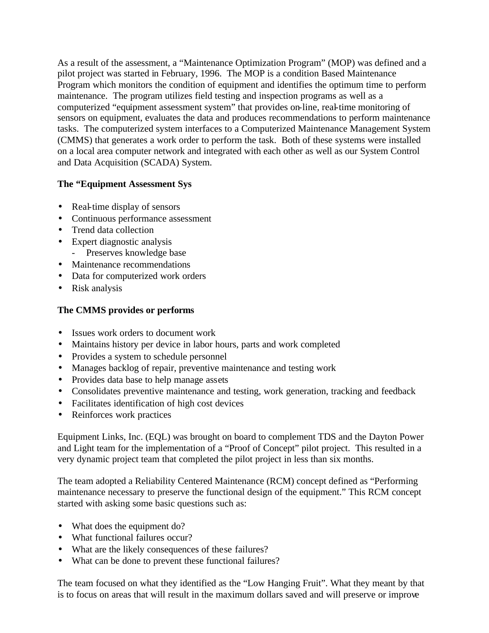As a result of the assessment, a "Maintenance Optimization Program" (MOP) was defined and a pilot project was started in February, 1996. The MOP is a condition Based Maintenance Program which monitors the condition of equipment and identifies the optimum time to perform maintenance. The program utilizes field testing and inspection programs as well as a computerized "equipment assessment system" that provides on-line, real-time monitoring of sensors on equipment, evaluates the data and produces recommendations to perform maintenance tasks. The computerized system interfaces to a Computerized Maintenance Management System (CMMS) that generates a work order to perform the task. Both of these systems were installed on a local area computer network and integrated with each other as well as our System Control and Data Acquisition (SCADA) System.

## **The "Equipment Assessment Sys**

- Real-time display of sensors
- Continuous performance assessment
- Trend data collection
- Expert diagnostic analysis
	- Preserves knowledge base
- Maintenance recommendations
- Data for computerized work orders
- Risk analysis

## **The CMMS provides or performs**

- Issues work orders to document work
- Maintains history per device in labor hours, parts and work completed
- Provides a system to schedule personnel
- Manages backlog of repair, preventive maintenance and testing work
- Provides data base to help manage assets
- Consolidates preventive maintenance and testing, work generation, tracking and feedback
- Facilitates identification of high cost devices
- Reinforces work practices

Equipment Links, Inc. (EQL) was brought on board to complement TDS and the Dayton Power and Light team for the implementation of a "Proof of Concept" pilot project. This resulted in a very dynamic project team that completed the pilot project in less than six months.

The team adopted a Reliability Centered Maintenance (RCM) concept defined as "Performing maintenance necessary to preserve the functional design of the equipment." This RCM concept started with asking some basic questions such as:

- What does the equipment do?
- What functional failures occur?
- What are the likely consequences of these failures?
- What can be done to prevent these functional failures?

The team focused on what they identified as the "Low Hanging Fruit". What they meant by that is to focus on areas that will result in the maximum dollars saved and will preserve or improve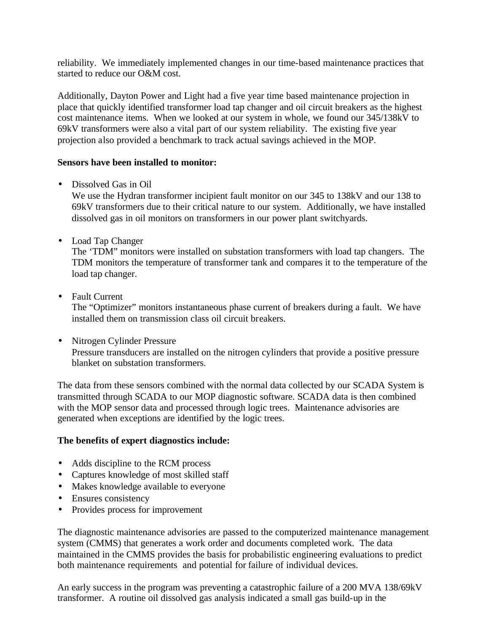reliability. We immediately implemented changes in our time-based maintenance practices that started to reduce our O&M cost.

Additionally, Dayton Power and Light had a five year time based maintenance projection in place that quickly identified transformer load tap changer and oil circuit breakers as the highest cost maintenance items. When we looked at our system in whole, we found our 345/138kV to 69kV transformers were also a vital part of our system reliability. The existing five year projection also provided a benchmark to track actual savings achieved in the MOP.

#### **Sensors have been installed to monitor:**

• Dissolved Gas in Oil

We use the Hydran transformer incipient fault monitor on our 345 to 138kV and our 138 to 69kV transformers due to their critical nature to our system. Additionally, we have installed dissolved gas in oil monitors on transformers in our power plant switchyards.

• Load Tap Changer

The 'TDM" monitors were installed on substation transformers with load tap changers. The TDM monitors the temperature of transformer tank and compares it to the temperature of the load tap changer.

• Fault Current

The "Optimizer" monitors instantaneous phase current of breakers during a fault. We have installed them on transmission class oil circuit breakers.

• Nitrogen Cylinder Pressure

Pressure transducers are installed on the nitrogen cylinders that provide a positive pressure blanket on substation transformers.

The data from these sensors combined with the normal data collected by our SCADA System is transmitted through SCADA to our MOP diagnostic software. SCADA data is then combined with the MOP sensor data and processed through logic trees. Maintenance advisories are generated when exceptions are identified by the logic trees.

### **The benefits of expert diagnostics include:**

- Adds discipline to the RCM process
- Captures knowledge of most skilled staff
- Makes knowledge available to everyone
- Ensures consistency
- Provides process for improvement

The diagnostic maintenance advisories are passed to the computerized maintenance management system (CMMS) that generates a work order and documents completed work. The data maintained in the CMMS provides the basis for probabilistic engineering evaluations to predict both maintenance requirements and potential for failure of individual devices.

An early success in the program was preventing a catastrophic failure of a 200 MVA 138/69kV transformer. A routine oil dissolved gas analysis indicated a small gas build-up in the